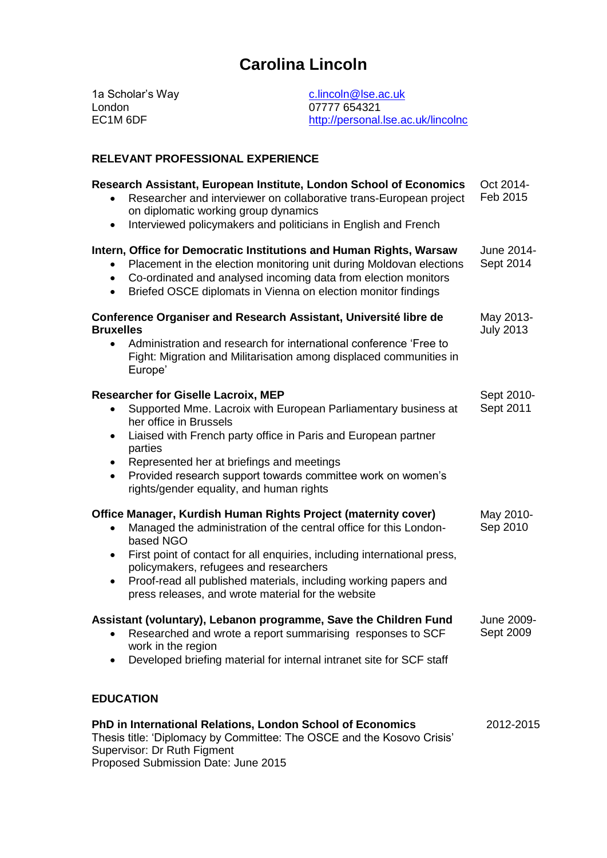# **Carolina Lincoln**

1a Scholar's Way London EC1M 6DF [c.lincoln@lse.ac.uk](mailto:c.lincoln@lse.ac.uk) 07777 654321 <http://personal.lse.ac.uk/lincolnc>

#### **RELEVANT PROFESSIONAL EXPERIENCE**

| Research Assistant, European Institute, London School of Economics<br>Researcher and interviewer on collaborative trans-European project<br>on diplomatic working group dynamics<br>Interviewed policymakers and politicians in English and French<br>$\bullet$                                                                                                                                                                 | Oct 2014-<br>Feb 2015         |
|---------------------------------------------------------------------------------------------------------------------------------------------------------------------------------------------------------------------------------------------------------------------------------------------------------------------------------------------------------------------------------------------------------------------------------|-------------------------------|
| Intern, Office for Democratic Institutions and Human Rights, Warsaw<br>Placement in the election monitoring unit during Moldovan elections<br>$\bullet$<br>Co-ordinated and analysed incoming data from election monitors<br>$\bullet$<br>Briefed OSCE diplomats in Vienna on election monitor findings<br>$\bullet$                                                                                                            | June 2014-<br>Sept 2014       |
| Conference Organiser and Research Assistant, Université libre de<br><b>Bruxelles</b><br>Administration and research for international conference 'Free to<br>$\bullet$<br>Fight: Migration and Militarisation among displaced communities in<br>Europe'                                                                                                                                                                         | May 2013-<br><b>July 2013</b> |
| <b>Researcher for Giselle Lacroix, MEP</b><br>Supported Mme. Lacroix with European Parliamentary business at<br>$\bullet$<br>her office in Brussels<br>Liaised with French party office in Paris and European partner<br>$\bullet$<br>parties<br>Represented her at briefings and meetings<br>$\bullet$<br>Provided research support towards committee work on women's<br>$\bullet$<br>rights/gender equality, and human rights | Sept 2010-<br>Sept 2011       |
| Office Manager, Kurdish Human Rights Project (maternity cover)<br>Managed the administration of the central office for this London-<br>based NGO<br>First point of contact for all enquiries, including international press,<br>$\bullet$<br>policymakers, refugees and researchers<br>Proof-read all published materials, including working papers and<br>$\bullet$<br>press releases, and wrote material for the website      | May 2010-<br>Sep 2010         |
| Assistant (voluntary), Lebanon programme, Save the Children Fund<br>Researched and wrote a report summarising responses to SCF<br>$\bullet$<br>work in the region<br>Developed briefing material for internal intranet site for SCF staff                                                                                                                                                                                       | June 2009-<br>Sept 2009       |
| <b>EDUCATION</b>                                                                                                                                                                                                                                                                                                                                                                                                                |                               |
| PhD in International Relations, London School of Economics<br>Thesis title: 'Diplomacy by Committee: The OSCE and the Kosovo Crisis'<br>Supervisor: Dr Ruth Figment                                                                                                                                                                                                                                                             | 2012-2015                     |

Proposed Submission Date: June 2015